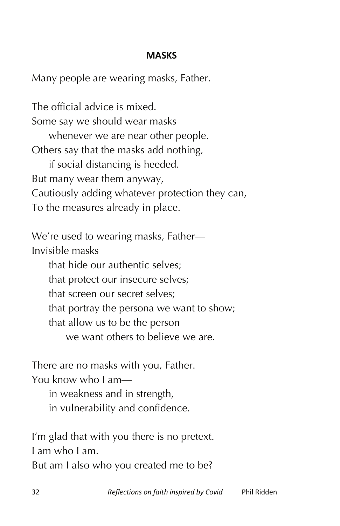## **MASKS**

Many people are wearing masks, Father.

The official advice is mixed. Some say we should wear masks whenever we are near other people. Others say that the masks add nothing, if social distancing is heeded. But many wear them anyway, Cautiously adding whatever protection they can, To the measures already in place.

We're used to wearing masks, Father— Invisible masks

that hide our authentic selves; that protect our insecure selves; that screen our secret selves; that portray the persona we want to show; that allow us to be the person we want others to believe we are.

There are no masks with you, Father.

You know who I am—

in weakness and in strength,

in vulnerability and confidence.

I'm glad that with you there is no pretext. I am who I am. But am I also who you created me to be?